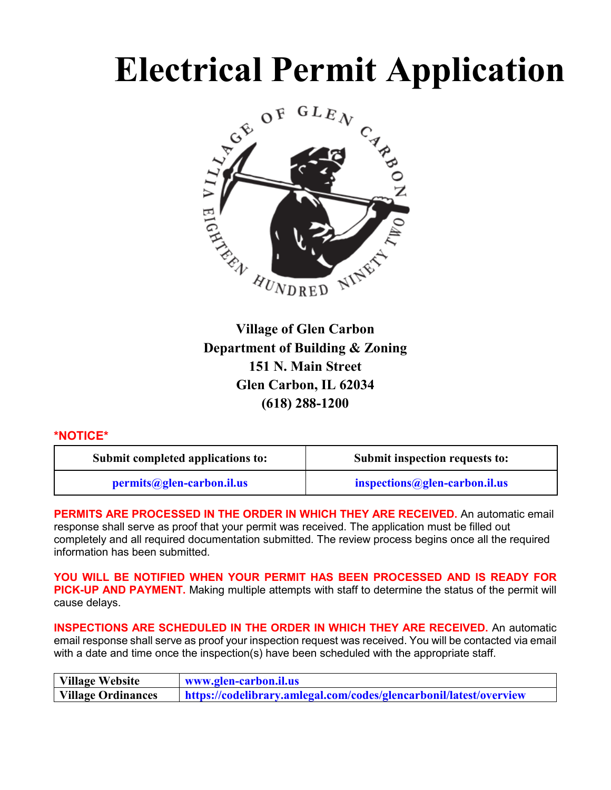# **Electrical Permit Application**



**Village of Glen Carbon Department of Building & Zoning 151 N. Main Street Glen Carbon, IL 62034 (618) 288-1200**

### **\*NOTICE\***

| Submit completed applications to: | Submit inspection requests to: |  |
|-----------------------------------|--------------------------------|--|
| permits@glen-carbon.il.us         | inspections@glen-carbon.il.us  |  |

**PERMITS ARE PROCESSED IN THE ORDER IN WHICH THEY ARE RECEIVED.** An automatic email response shall serve as proof that your permit was received. The application must be filled out completely and all required documentation submitted. The review process begins once all the required information has been submitted.

**YOU WILL BE NOTIFIED WHEN YOUR PERMIT HAS BEEN PROCESSED AND IS READY FOR PICK-UP AND PAYMENT.** Making multiple attempts with staff to determine the status of the permit will cause delays.

**INSPECTIONS ARE SCHEDULED IN THE ORDER IN WHICH THEY ARE RECEIVED.** An automatic email response shall serve as proof your inspection request was received. You will be contacted via email with a date and time once the inspection(s) have been scheduled with the appropriate staff.

| <b>Village Website</b>    | www.glen-carbon.il.us                                              |
|---------------------------|--------------------------------------------------------------------|
| <b>Village Ordinances</b> | https://codelibrary.amlegal.com/codes/glencarbonil/latest/overview |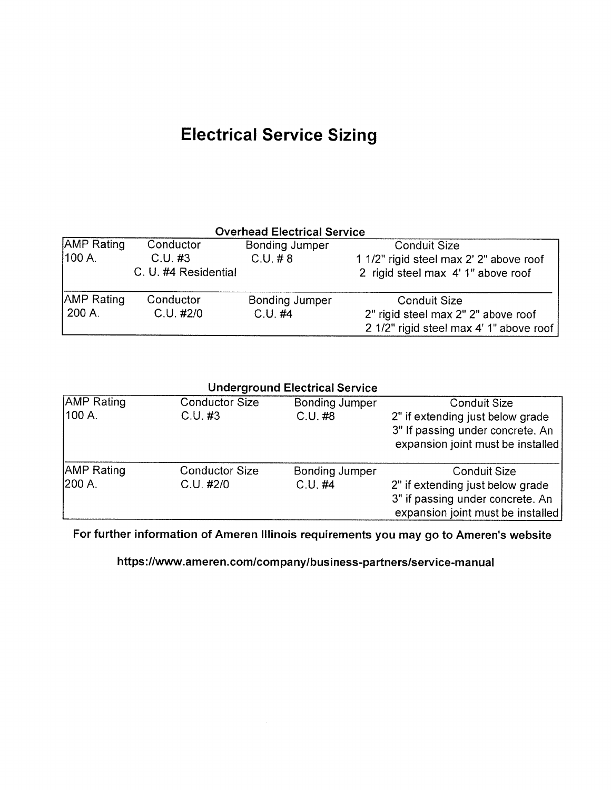## **Electrical Service Sizing**

| <b>Overhead Electrical Service</b> |                      |                                                      |                                         |  |  |
|------------------------------------|----------------------|------------------------------------------------------|-----------------------------------------|--|--|
| <b>AMP Rating</b>                  | Conductor            | <b>Bonding Jumper</b>                                | <b>Conduit Size</b>                     |  |  |
| $100 A$ .                          | C.U. #3              | $C.U.$ #8<br>1 1/2" rigid steel max 2' 2" above roof |                                         |  |  |
|                                    | C. U. #4 Residential |                                                      | 2 rigid steel max 4' 1" above roof      |  |  |
| <b>AMP Rating</b>                  | Conductor            | <b>Bonding Jumper</b>                                | <b>Conduit Size</b>                     |  |  |
| 200 A.                             | C.U. #2/0            | $C.U.$ #4                                            | 2" rigid steel max 2" 2" above roof     |  |  |
|                                    |                      |                                                      | 2 1/2" rigid steel max 4' 1" above roof |  |  |

|                              |                                      | <b>Underground Electrical Service</b> |                                                                                                                                  |
|------------------------------|--------------------------------------|---------------------------------------|----------------------------------------------------------------------------------------------------------------------------------|
| <b>AMP Rating</b><br> 100 A. | <b>Conductor Size</b><br>C.U. #3     | <b>Bonding Jumper</b><br>$C.U.$ #8    | <b>Conduit Size</b><br>2" if extending just below grade<br>3" If passing under concrete. An<br>expansion joint must be installed |
| <b>AMP Rating</b><br>1200 A. | <b>Conductor Size</b><br>$C.U.$ #2/0 | <b>Bonding Jumper</b><br>$C.U.$ #4    | <b>Conduit Size</b><br>2" if extending just below grade<br>3" if passing under concrete. An<br>expansion joint must be installed |

For further information of Ameren Illinois requirements you may go to Ameren's website

https://www.ameren.com/company/business-partners/service-manual